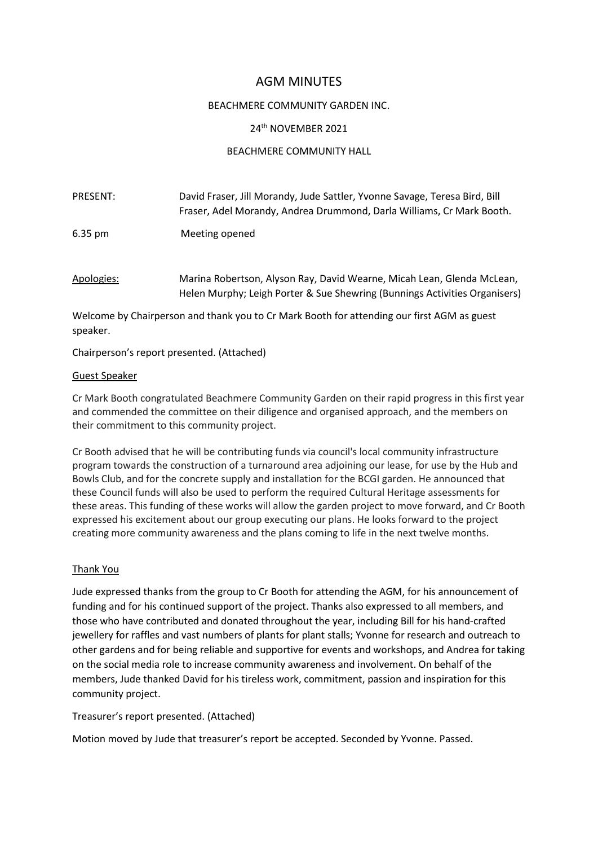# AGM MINUTES

# BEACHMERE COMMUNITY GARDEN INC.

# 24th NOVEMBER 2021

# BEACHMERE COMMUNITY HALL

| <b>PRESENT:</b>   | David Fraser, Jill Morandy, Jude Sattler, Yvonne Savage, Teresa Bird, Bill<br>Fraser, Adel Morandy, Andrea Drummond, Darla Williams, Cr Mark Booth.  |
|-------------------|------------------------------------------------------------------------------------------------------------------------------------------------------|
| $6.35 \text{ pm}$ | Meeting opened                                                                                                                                       |
| Apologies:        | Marina Robertson, Alyson Ray, David Wearne, Micah Lean, Glenda McLean,<br>Helen Murphy; Leigh Porter & Sue Shewring (Bunnings Activities Organisers) |

Welcome by Chairperson and thank you to Cr Mark Booth for attending our first AGM as guest speaker.

Chairperson's report presented. (Attached)

### Guest Speaker

Cr Mark Booth congratulated Beachmere Community Garden on their rapid progress in this first year and commended the committee on their diligence and organised approach, and the members on their commitment to this community project.

Cr Booth advised that he will be contributing funds via council's local community infrastructure program towards the construction of a turnaround area adjoining our lease, for use by the Hub and Bowls Club, and for the concrete supply and installation for the BCGI garden. He announced that these Council funds will also be used to perform the required Cultural Heritage assessments for these areas. This funding of these works will allow the garden project to move forward, and Cr Booth expressed his excitement about our group executing our plans. He looks forward to the project creating more community awareness and the plans coming to life in the next twelve months.

### Thank You

Jude expressed thanks from the group to Cr Booth for attending the AGM, for his announcement of funding and for his continued support of the project. Thanks also expressed to all members, and those who have contributed and donated throughout the year, including Bill for his hand-crafted jewellery for raffles and vast numbers of plants for plant stalls; Yvonne for research and outreach to other gardens and for being reliable and supportive for events and workshops, and Andrea for taking on the social media role to increase community awareness and involvement. On behalf of the members, Jude thanked David for his tireless work, commitment, passion and inspiration for this community project.

### Treasurer's report presented. (Attached)

Motion moved by Jude that treasurer's report be accepted. Seconded by Yvonne. Passed.